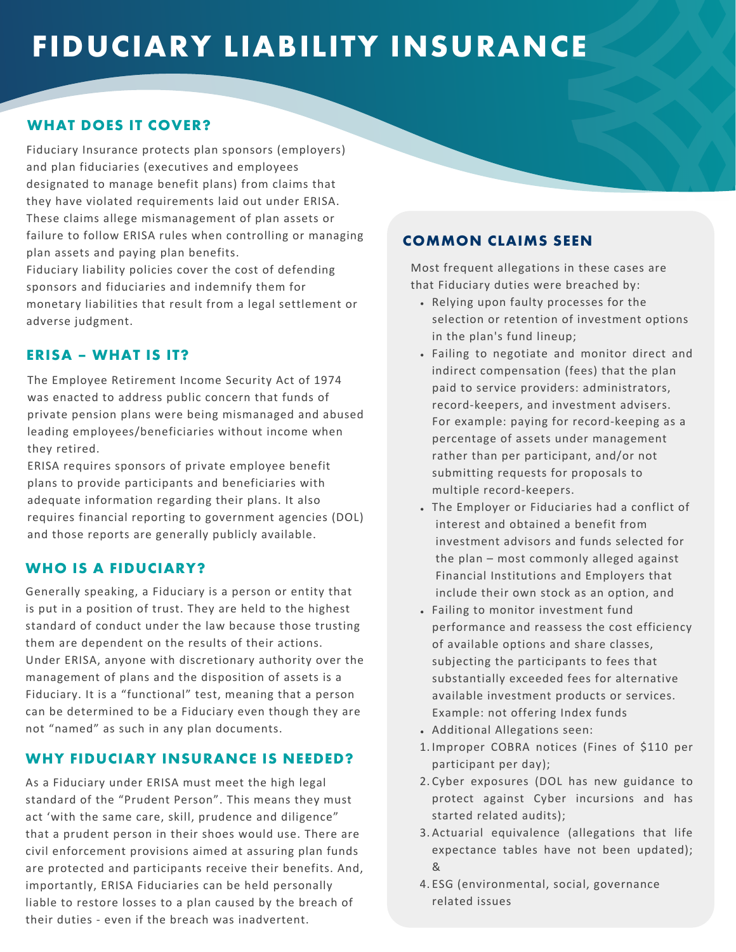# **FIDUCIARY LIABILITY INSURANCE**

### **WHAT DOES IT COVER?**

Fiduciary Insurance protects plan sponsors (employers) and plan fiduciaries (executives and employees designated to manage benefit plans) from claims that they have violated requirements laid out under ERISA. These claims allege mismanagement of plan assets or failure to follow ERISA rules when controlling or managing plan assets and paying plan benefits.

Fiduciary liability policies cover the cost of defending sponsors and fiduciaries and indemnify them for monetary liabilities that result from a legal settlement or adverse judgment.

#### **ERISA – WHAT IS IT?**

The Employee Retirement Income Security Act of 1974 was enacted to address public concern that funds of private pension plans were being mismanaged and abused leading employees/beneficiaries without income when they retired.

ERISA requires sponsors of private employee benefit plans to provide participants and beneficiaries with adequate information regarding their plans. It also requires financial reporting to government agencies (DOL) and those reports are generally publicly available.

#### **WHO IS A FIDUCIARY?**

Generally speaking, a Fiduciary is a person or entity that is put in a position of trust. They are held to the highest standard of conduct under the law because those trusting them are dependent on the results of their actions. Under ERISA, anyone with discretionary authority over the management of plans and the disposition of assets is a Fiduciary. It is a "functional" test, meaning that a person can be determined to be a Fiduciary even though they are not "named" as such in any plan documents.

#### **WHY FIDUCIARY INSURANCE IS NEEDED?**

As a Fiduciary under ERISA must meet the high legal standard of the "Prudent Person". This means they must act 'with the same care, skill, prudence and diligence" that a prudent person in their shoes would use. There are civil enforcement provisions aimed at assuring plan funds are protected and participants receive their benefits. And, importantly, ERISA Fiduciaries can be held personally liable to restore losses to a plan caused by the breach of their duties - even if the breach was inadvertent.

#### **COMMON CLAIMS SEEN**

Most frequent allegations in these cases are that Fiduciary duties were breached by:

- Relying upon faulty processes for the selection or retention of investment options in the plan's fund lineup;
- Failing to negotiate and monitor direct and indirect compensation (fees) that the plan paid to service providers: administrators, record-keepers, and investment advisers. For example: paying for record-keeping as a percentage of assets under management rather than per participant, and/or not submitting requests for proposals to multiple record-keepers.
- The Employer or Fiduciaries had a conflict of interest and obtained a benefit from investment advisors and funds selected for the plan – most commonly alleged against Financial Institutions and Employers that include their own stock as an option, and
- Failing to monitor investment fund performance and reassess the cost efficiency of available options and share classes, subjecting the participants to fees that substantially exceeded fees for alternative available investment products or services. Example: not offering Index funds
- Additional Allegations seen:
- 1. Improper COBRA notices (Fines of \$110 per participant per day);
- 2. Cyber exposures (DOL has new guidance to protect against Cyber incursions and has started related audits);
- 3. Actuarial equivalence (allegations that life expectance tables have not been updated); &
- ESG (environmental, social, governance 4. related issues